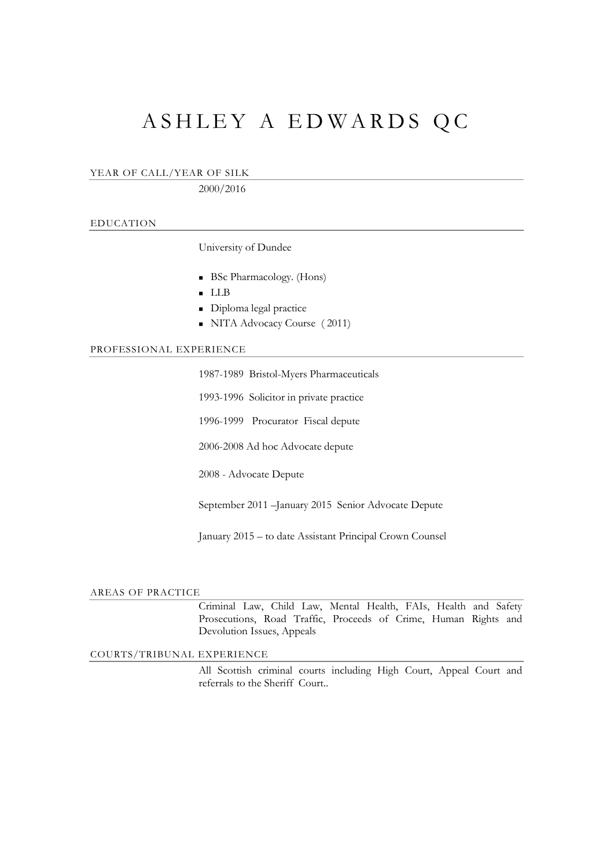# ASHLEY A EDWARDS QC

YEAR OF CALL/YEAR OF SILK

2000/2016

### EDUCATION

University of Dundee

- BSc Pharmacology. (Hons)
- LLB
- Diploma legal practice
- NITA Advocacy Course (2011)

#### PROFESSIONAL EXPERIENCE

1987-1989 Bristol-Myers Pharmaceuticals

1993-1996 Solicitor in private practice

1996-1999 Procurator Fiscal depute

2006-2008 Ad hoc Advocate depute

2008 - Advocate Depute

September 2011 –January 2015 Senior Advocate Depute

January 2015 – to date Assistant Principal Crown Counsel

#### AREAS OF PRACTICE

Criminal Law, Child Law, Mental Health, FAIs, Health and Safety Prosecutions, Road Traffic, Proceeds of Crime, Human Rights and Devolution Issues, Appeals

COURTS/TRIBUNAL EXPERIENCE

All Scottish criminal courts including High Court, Appeal Court and referrals to the Sheriff Court..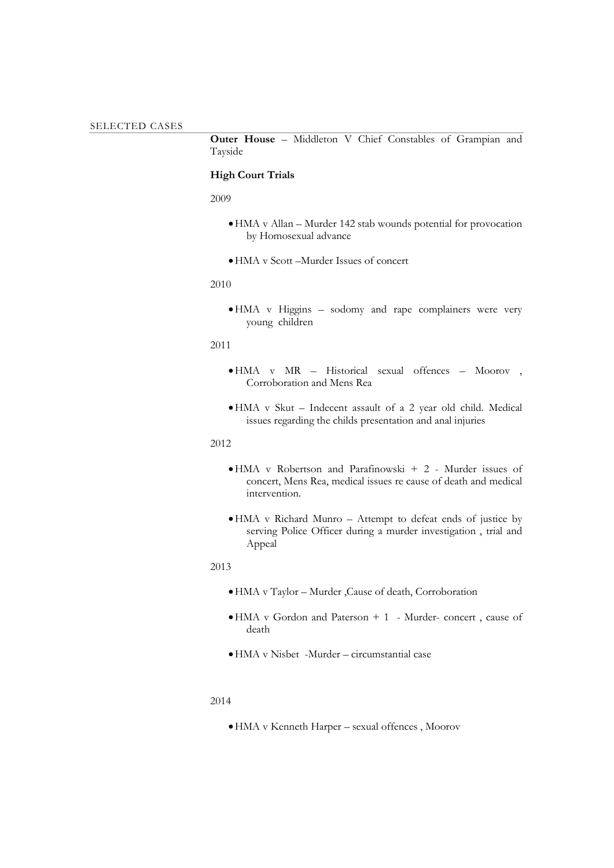**Outer House** – Middleton V Chief Constables of Grampian and Tayside

# **High Court Trials**

2009

- •HMA v Allan Murder 142 stab wounds potential for provocation by Homosexual advance
- •HMA v Scott –Murder Issues of concert

#### 2010

•HMA v Higgins – sodomy and rape complainers were very young children

# 2011

- •HMA v MR Historical sexual offences Moorov , Corroboration and Mens Rea
- •HMA v Skut Indecent assault of a 2 year old child. Medical issues regarding the childs presentation and anal injuries

## 2012

- •HMA v Robertson and Parafinowski + 2 Murder issues of concert, Mens Rea, medical issues re cause of death and medical intervention.
- •HMA v Richard Munro Attempt to defeat ends of justice by serving Police Officer during a murder investigation , trial and Appeal

#### 2013

- •HMA v Taylor Murder ,Cause of death, Corroboration
- •HMA v Gordon and Paterson + 1 Murder- concert , cause of death
- •HMA v Nisbet -Murder circumstantial case

#### 2014

•HMA v Kenneth Harper – sexual offences , Moorov